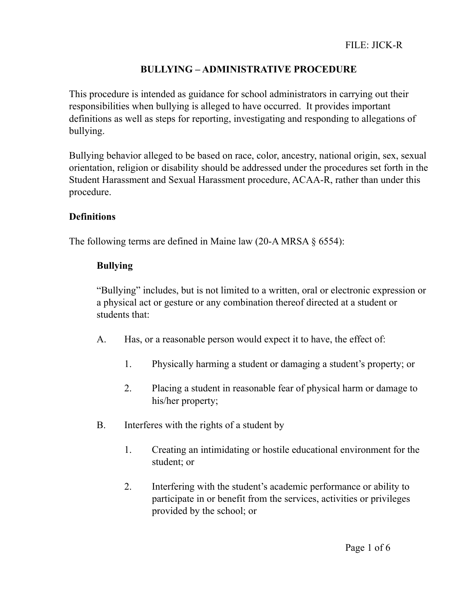# **BULLYING – ADMINISTRATIVE PROCEDURE**

This procedure is intended as guidance for school administrators in carrying out their responsibilities when bullying is alleged to have occurred.It provides important definitions as well as steps for reporting, investigating and responding to allegations of bullying.

Bullying behavior alleged to be based on race, color, ancestry, national origin, sex, sexual orientation, religion or disability should be addressed under the procedures set forth in the Student Harassment and Sexual Harassment procedure, ACAA-R, rather than under this procedure.

## **Definitions**

The following terms are defined in Maine law (20-A MRSA  $\S$  6554):

## **Bullying**

 "Bullying" includes, but is not limited to a written, oral or electronic expression or a physical act or gesture or any combination thereof directed at a student or students that:

- A. Has, or a reasonable person would expect it to have, the effect of:
	- 1. Physically harming a student or damaging a student's property; or
	- 2. Placing a student in reasonable fear of physical harm or damage to his/her property;
- B. Interferes with the rights of a student by
	- 1. Creating an intimidating or hostile educational environment for the student; or
	- 2. Interfering with the student's academic performance or ability to participate in or benefit from the services, activities or privileges provided by the school; or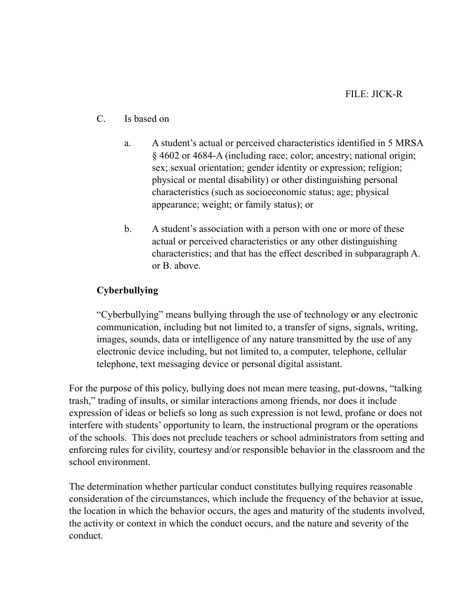- C. Is based on
	- a. A student's actual or perceived characteristics identified in 5 MRSA § 4602 or 4684-A (including race; color; ancestry; national origin; sex; sexual orientation; gender identity or expression; religion; physical or mental disability) or other distinguishing personal characteristics (such as socioeconomic status; age; physical appearance; weight; or family status); or
	- b. A student's association with a person with one or more of these actual or perceived characteristics or any other distinguishing characteristics; and that has the effect described in subparagraph A. or B. above.

# **Cyberbullying**

 "Cyberbullying" means bullying through the use of technology or any electronic communication, including but not limited to, a transfer of signs, signals, writing, images, sounds, data or intelligence of any nature transmitted by the use of any electronic device including, but not limited to, a computer, telephone, cellular telephone, text messaging device or personal digital assistant.

For the purpose of this policy, bullying does not mean mere teasing, put-downs, "talking trash," trading of insults, or similar interactions among friends, nor does it include expression of ideas or beliefs so long as such expression is not lewd, profane or does not interfere with students' opportunity to learn, the instructional program or the operations of the schools. This does not preclude teachers or school administrators from setting and enforcing rules for civility, courtesy and/or responsible behavior in the classroom and the school environment.

The determination whether particular conduct constitutes bullying requires reasonable consideration of the circumstances, which include the frequency of the behavior at issue, the location in which the behavior occurs, the ages and maturity of the students involved, the activity or context in which the conduct occurs, and the nature and severity of the conduct.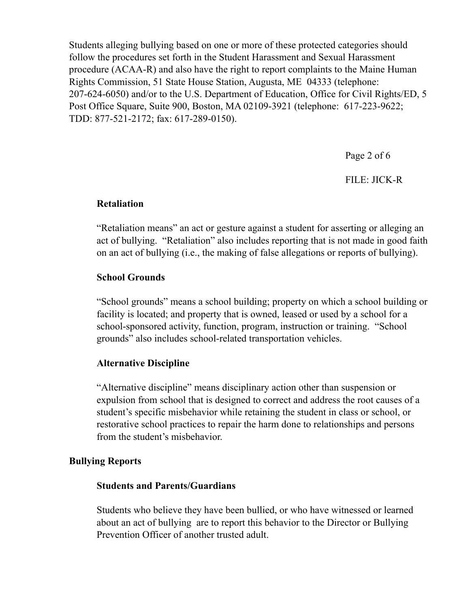Students alleging bullying based on one or more of these protected categories should follow the procedures set forth in the Student Harassment and Sexual Harassment procedure (ACAA-R) and also have the right to report complaints to the Maine Human Rights Commission, 51 State House Station, Augusta, ME 04333 (telephone: 207-624-6050) and/or to the U.S. Department of Education, Office for Civil Rights/ED, 5 Post Office Square, Suite 900, Boston, MA 02109-3921 (telephone: 617-223-9622; TDD: 877-521-2172; fax: 617-289-0150).

Page 2 of 6

FILE: JICK-R

#### **Retaliation**

 "Retaliation means" an act or gesture against a student for asserting or alleging an act of bullying. "Retaliation" also includes reporting that is not made in good faith on an act of bullying (i.e., the making of false allegations or reports of bullying).

#### **School Grounds**

"School grounds" means a school building; property on which a school building or facility is located; and property that is owned, leased or used by a school for a school-sponsored activity, function, program, instruction or training. "School grounds" also includes school-related transportation vehicles.

#### **Alternative Discipline**

"Alternative discipline" means disciplinary action other than suspension or expulsion from school that is designed to correct and address the root causes of a student's specific misbehavior while retaining the student in class or school, or restorative school practices to repair the harm done to relationships and persons from the student's misbehavior.

#### **Bullying Reports**

#### **Students and Parents/Guardians**

Students who believe they have been bullied, or who have witnessed or learned about an act of bullying are to report this behavior to the Director or Bullying Prevention Officer of another trusted adult.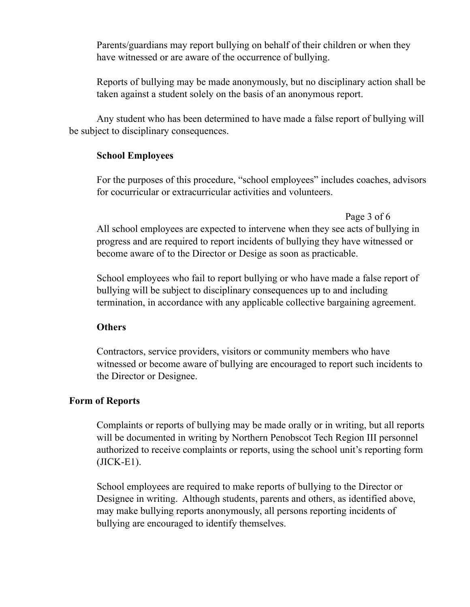Parents/guardians may report bullying on behalf of their children or when they have witnessed or are aware of the occurrence of bullying.

Reports of bullying may be made anonymously, but no disciplinary action shall be taken against a student solely on the basis of an anonymous report.

 Any student who has been determined to have made a false report of bullying will be subject to disciplinary consequences.

## **School Employees**

For the purposes of this procedure, "school employees" includes coaches, advisors for cocurricular or extracurricular activities and volunteers.

 Page 3 of 6 All school employees are expected to intervene when they see acts of bullying in progress and are required to report incidents of bullying they have witnessed or become aware of to the Director or Desige as soon as practicable.

School employees who fail to report bullying or who have made a false report of bullying will be subject to disciplinary consequences up to and including termination, in accordance with any applicable collective bargaining agreement.

### **Others**

 Contractors, service providers, visitors or community members who have witnessed or become aware of bullying are encouraged to report such incidents to the Director or Designee.

### **Form of Reports**

Complaints or reports of bullying may be made orally or in writing, but all reports will be documented in writing by Northern Penobscot Tech Region III personnel authorized to receive complaints or reports, using the school unit's reporting form (JICK-E1).

School employees are required to make reports of bullying to the Director or Designee in writing. Although students, parents and others, as identified above, may make bullying reports anonymously, all persons reporting incidents of bullying are encouraged to identify themselves.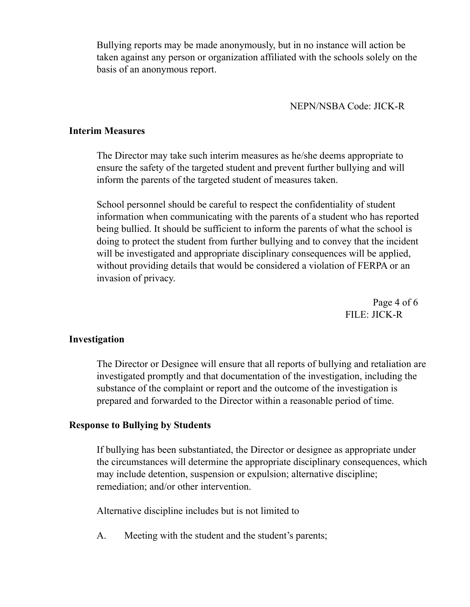Bullying reports may be made anonymously, but in no instance will action be taken against any person or organization affiliated with the schools solely on the basis of an anonymous report.

### NEPN/NSBA Code: JICK-R

#### **Interim Measures**

The Director may take such interim measures as he/she deems appropriate to ensure the safety of the targeted student and prevent further bullying and will inform the parents of the targeted student of measures taken.

School personnel should be careful to respect the confidentiality of student information when communicating with the parents of a student who has reported being bullied. It should be sufficient to inform the parents of what the school is doing to protect the student from further bullying and to convey that the incident will be investigated and appropriate disciplinary consequences will be applied, without providing details that would be considered a violation of FERPA or an invasion of privacy.

> Page 4 of 6 FILE: JICK-R

### **Investigation**

 The Director or Designee will ensure that all reports of bullying and retaliation are investigated promptly and that documentation of the investigation, including the substance of the complaint or report and the outcome of the investigation is prepared and forwarded to the Director within a reasonable period of time.

#### **Response to Bullying by Students**

 If bullying has been substantiated, the Director or designee as appropriate under the circumstances will determine the appropriate disciplinary consequences, which may include detention, suspension or expulsion; alternative discipline; remediation; and/or other intervention.

Alternative discipline includes but is not limited to

A. Meeting with the student and the student's parents;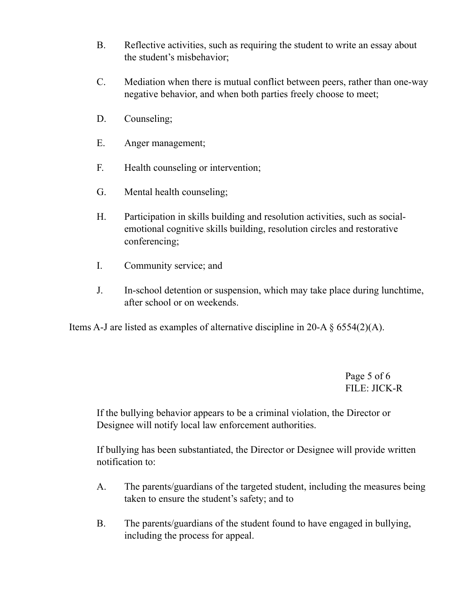- B. Reflective activities, such as requiring the student to write an essay about the student's misbehavior;
- C. Mediation when there is mutual conflict between peers, rather than one-way negative behavior, and when both parties freely choose to meet;
- D. Counseling;
- E. Anger management;
- F. Health counseling or intervention;
- G. Mental health counseling;
- H. Participation in skills building and resolution activities, such as socialemotional cognitive skills building, resolution circles and restorative conferencing;
- I. Community service; and
- J. In-school detention or suspension, which may take place during lunchtime, after school or on weekends.

Items A-J are listed as examples of alternative discipline in 20-A  $\S$  6554(2)(A).

Page 5 of 6 FILE: JICK-R

If the bullying behavior appears to be a criminal violation, the Director or Designee will notify local law enforcement authorities.

If bullying has been substantiated, the Director or Designee will provide written notification to:

- A. The parents/guardians of the targeted student, including the measures being taken to ensure the student's safety; and to
- B. The parents/guardians of the student found to have engaged in bullying, including the process for appeal.